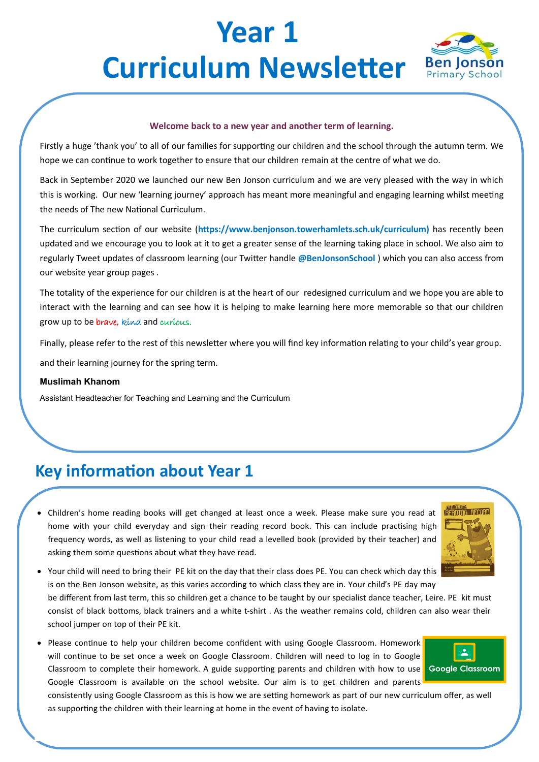# **Year 1 Curriculum Newsletter Ben Jonson**



#### **Welcome back to a new year and another term of learning.**

Firstly a huge 'thank you' to all of our families for supporting our children and the school through the autumn term. We hope we can continue to work together to ensure that our children remain at the centre of what we do.

Back in September 2020 we launched our new Ben Jonson curriculum and we are very pleased with the way in which this is working. Our new 'learning journey' approach has meant more meaningful and engaging learning whilst meeting the needs of The new National Curriculum.

The curriculum section of our website (**https://www.benjonson.towerhamlets.sch.uk/curriculum)** has recently been updated and we encourage you to look at it to get a greater sense of the learning taking place in school. We also aim to regularly Tweet updates of classroom learning (our Twitter handle **@BenJonsonSchool** ) which you can also access from our website year group pages .

The totality of the experience for our children is at the heart of our redesigned curriculum and we hope you are able to interact with the learning and can see how it is helping to make learning here more memorable so that our children grow up to be brave, kind and curious.

Finally, please refer to the rest of this newsletter where you will find key information relating to your child's year group.

and their learning journey for the spring term.

#### **Muslimah Khanom**

Assistant Headteacher for Teaching and Learning and the Curriculum

### **Key information about Year 1**

• Children's home reading books will get changed at least once a week. Please make sure you read at home with your child everyday and sign their reading record book. This can include practising high frequency words, as well as listening to your child read a levelled book (provided by their teacher) and asking them some questions about what they have read.



• Your child will need to bring their PE kit on the day that their class does PE. You can check which day this is on the Ben Jonson website, as this varies according to which class they are in. Your child's PE day may

be different from last term, this so children get a chance to be taught by our specialist dance teacher, Leire. PE kit must consist of black bottoms, black trainers and a white t-shirt . As the weather remains cold, children can also wear their school jumper on top of their PE kit.

• Please continue to help your children become confident with using Google Classroom. Homework will continue to be set once a week on Google Classroom. Children will need to log in to Google Classroom to complete their homework. A guide supporting parents and children with how to use Google Classroom Google Classroom is available on the school website. Our aim is to get children and parents



consistently using Google Classroom as this is how we are setting homework as part of our new curriculum offer, as well as supporting the children with their learning at home in the event of having to isolate.